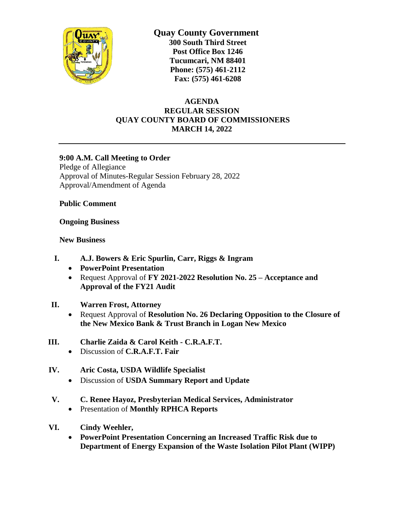

 **Quay County Government 300 South Third Street Post Office Box 1246 Tucumcari, NM 88401 Phone: (575) 461-2112 Fax: (575) 461-6208**

## **AGENDA REGULAR SESSION QUAY COUNTY BOARD OF COMMISSIONERS MARCH 14, 2022**

## **9:00 A.M. Call Meeting to Order**

Pledge of Allegiance Approval of Minutes-Regular Session February 28, 2022 Approval/Amendment of Agenda

**Public Comment**

**Ongoing Business**

**New Business**

- **I. A.J. Bowers & Eric Spurlin, Carr, Riggs & Ingram**
	- **PowerPoint Presentation**
	- Request Approval of **FY 2021-2022 Resolution No. 25 – Acceptance and Approval of the FY21 Audit**
- **II. Warren Frost, Attorney**
	- Request Approval of **Resolution No. 26 Declaring Opposition to the Closure of the New Mexico Bank & Trust Branch in Logan New Mexico**
- **III. Charlie Zaida & Carol Keith - C.R.A.F.T.**
	- Discussion of **C.R.A.F.T. Fair**
- **IV. Aric Costa, USDA Wildlife Specialist**
	- Discussion of **USDA Summary Report and Update**
- **V. C. Renee Hayoz, Presbyterian Medical Services, Administrator**
	- Presentation of **Monthly RPHCA Reports**
- **VI. Cindy Weehler,**
	- **PowerPoint Presentation Concerning an Increased Traffic Risk due to Department of Energy Expansion of the Waste Isolation Pilot Plant (WIPP)**